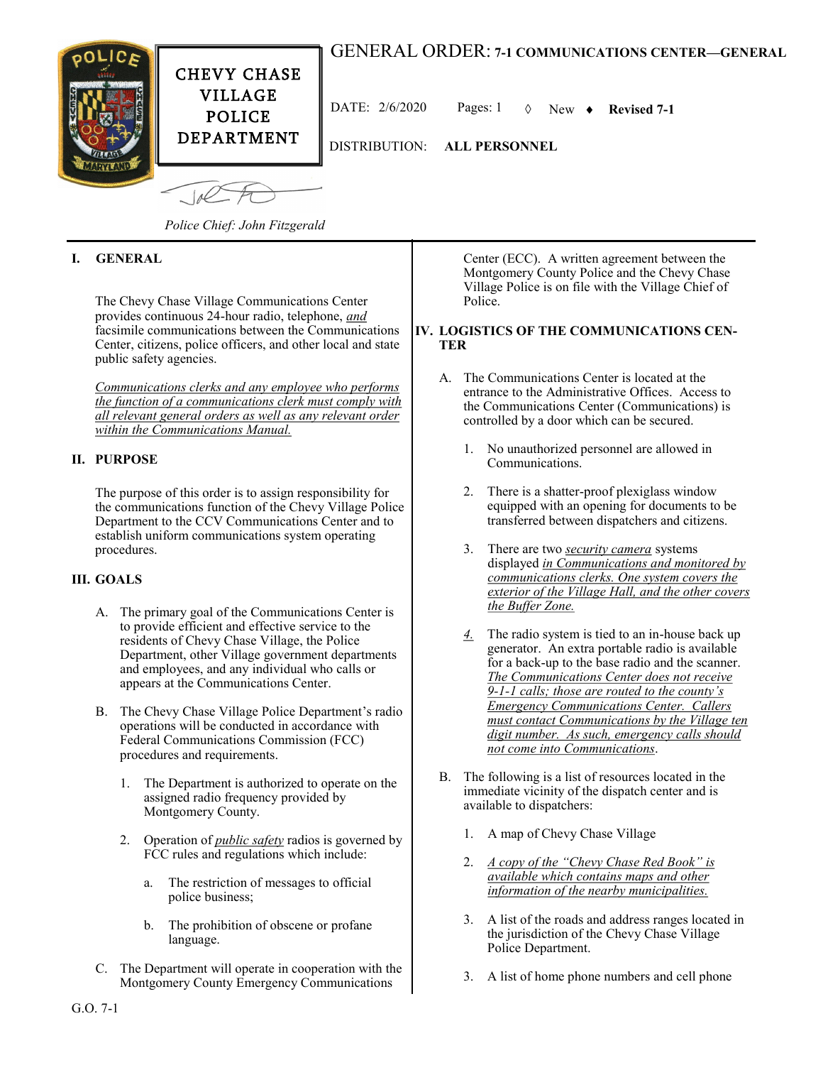# GENERAL ORDER: **7-1 COMMUNICATIONS CENTER—GENERAL**



DATE:  $2/6/2020$  Pages: 1  $\Diamond$  New  $\bullet$  Revised 7-1

DISTRIBUTION: **ALL PERSONNEL**

*Police Chief: John Fitzgerald*

## **I. GENERAL**

The Chevy Chase Village Communications Center provides continuous 24-hour radio, telephone, *and* facsimile communications between the Communications Center, citizens, police officers, and other local and state public safety agencies.

*Communications clerks and any employee who performs the function of a communications clerk must comply with all relevant general orders as well as any relevant order within the Communications Manual.*

### **II. PURPOSE**

The purpose of this order is to assign responsibility for the communications function of the Chevy Village Police Department to the CCV Communications Center and to establish uniform communications system operating procedures.

### **III. GOALS**

- A. The primary goal of the Communications Center is to provide efficient and effective service to the residents of Chevy Chase Village, the Police Department, other Village government departments and employees, and any individual who calls or appears at the Communications Center.
- B. The Chevy Chase Village Police Department's radio operations will be conducted in accordance with Federal Communications Commission (FCC) procedures and requirements.
	- 1. The Department is authorized to operate on the assigned radio frequency provided by Montgomery County.
	- 2. Operation of *public safety* radios is governed by FCC rules and regulations which include:
		- a. The restriction of messages to official police business;
		- b. The prohibition of obscene or profane language.
- C. The Department will operate in cooperation with the Montgomery County Emergency Communications

Center (ECC). A written agreement between the Montgomery County Police and the Chevy Chase Village Police is on file with the Village Chief of Police.

#### **IV. LOGISTICS OF THE COMMUNICATIONS CEN-TER**

- A. The Communications Center is located at the entrance to the Administrative Offices. Access to the Communications Center (Communications) is controlled by a door which can be secured.
	- 1. No unauthorized personnel are allowed in Communications.
	- 2. There is a shatter-proof plexiglass window equipped with an opening for documents to be transferred between dispatchers and citizens.
	- 3. There are two *security camera* systems displayed *in Communications and monitored by communications clerks. One system covers the exterior of the Village Hall, and the other covers the Buffer Zone.*
	- *4.* The radio system is tied to an in-house back up generator. An extra portable radio is available for a back-up to the base radio and the scanner. *The Communications Center does not receive 9-1-1 calls; those are routed to the county's Emergency Communications Center. Callers must contact Communications by the Village ten digit number. As such, emergency calls should not come into Communications*.
- B. The following is a list of resources located in the immediate vicinity of the dispatch center and is available to dispatchers:
	- 1. A map of Chevy Chase Village
	- 2. *A copy of the "Chevy Chase Red Book" is available which contains maps and other information of the nearby municipalities.*
	- 3. A list of the roads and address ranges located in the jurisdiction of the Chevy Chase Village Police Department.
	- 3. A list of home phone numbers and cell phone